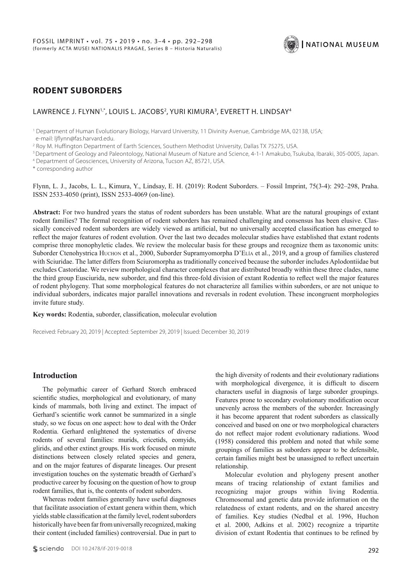

# **RODENT SUBORDERS**

### LAWRENCE J. FLYNN<sup>1,\*</sup>, LOUIS L. JACOBS<sup>2</sup>, YURI KIMURA<sup>3</sup>, EVERETT H. LINDSAY<sup>4</sup>

<sup>1</sup> Department of Human Evolutionary Biology, Harvard University, 11 Divinity Avenue, Cambridge MA, 02138, USA; e-mail: ljflynn@fas.harvard.edu.

2 Roy M. Huffington Department of Earth Sciences, Southern Methodist University, Dallas TX 75275, USA.

3 Department of Geology and Paleontology, National Museum of Nature and Science, 4-1-1 Amakubo, Tsukuba, Ibaraki, 305-0005, Japan.

4 Department of Geosciences, University of Arizona, Tucson AZ, 85721, USA.

\* corresponding author

Flynn, L. J., Jacobs, L. L., Kimura, Y., Lindsay, E. H. (2019): Rodent Suborders. – Fossil Imprint, 75(3-4): 292–298, Praha. ISSN 2533-4050 (print), ISSN 2533-4069 (on-line).

**Abstract:** For two hundred years the status of rodent suborders has been unstable. What are the natural groupings of extant rodent families? The formal recognition of rodent suborders has remained challenging and consensus has been elusive. Classically conceived rodent suborders are widely viewed as artificial, but no universally accepted classification has emerged to reflect the major features of rodent evolution. Over the last two decades molecular studies have established that extant rodents comprise three monophyletic clades. We review the molecular basis for these groups and recognize them as taxonomic units: Suborder Ctenohystrica Huchon et al., 2000, Suborder Supramyomorpha D'Elía et al., 2019, and a group of families clustered with Sciuridae. The latter differs from Sciuromorpha as traditionally conceived because the suborder includes Aplodontiidae but excludes Castoridae. We review morphological character complexes that are distributed broadly within these three clades, name the third group Eusciurida, new suborder, and find this three-fold division of extant Rodentia to reflect well the major features of rodent phylogeny. That some morphological features do not characterize all families within suborders, or are not unique to individual suborders, indicates major parallel innovations and reversals in rodent evolution. These incongruent morphologies invite future study.

#### **Key words:** Rodentia, suborder, classification, molecular evolution

Received: February 20, 2019 | Accepted: September 29, 2019 | Issued: December 30, 2019

#### **Introduction**

The polymathic career of Gerhard Storch embraced scientific studies, morphological and evolutionary, of many kinds of mammals, both living and extinct. The impact of Gerhard's scientific work cannot be summarized in a single study, so we focus on one aspect: how to deal with the Order Rodentia. Gerhard enlightened the systematics of diverse rodents of several families: murids, cricetids, eomyids, glirids, and other extinct groups. His work focused on minute distinctions between closely related species and genera, and on the major features of disparate lineages. Our present investigation touches on the systematic breadth of Gerhard's productive career by focusing on the question of how to group rodent families, that is, the contents of rodent suborders.

Whereas rodent families generally have useful diagnoses that facilitate association of extant genera within them, which yields stable classification at the family level, rodent suborders historically have been far from universally recognized, making their content (included families) controversial. Due in part to

the high diversity of rodents and their evolutionary radiations with morphological divergence, it is difficult to discern characters useful in diagnosis of large suborder groupings. Features prone to secondary evolutionary modification occur unevenly across the members of the suborder. Increasingly it has become apparent that rodent suborders as classically conceived and based on one or two morphological characters do not reflect major rodent evolutionary radiations. Wood (1958) considered this problem and noted that while some groupings of families as suborders appear to be defensible, certain families might best be unassigned to reflect uncertain relationship.

Molecular evolution and phylogeny present another means of tracing relationship of extant families and recognizing major groups within living Rodentia. Chromosomal and genetic data provide information on the relatedness of extant rodents, and on the shared ancestry of families. Key studies (Nedbal et al. 1996, Huchon et al. 2000, Adkins et al. 2002) recognize a tripartite division of extant Rodentia that continues to be refined by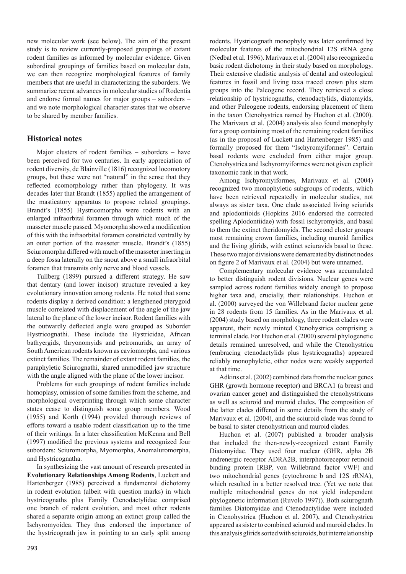new molecular work (see below). The aim of the present study is to review currently-proposed groupings of extant rodent families as informed by molecular evidence. Given subordinal groupings of families based on molecular data, we can then recognize morphological features of family members that are useful in characterizing the suborders. We summarize recent advances in molecular studies of Rodentia and endorse formal names for major groups – suborders – and we note morphological character states that we observe to be shared by member families.

## **Historical notes**

Major clusters of rodent families – suborders – have been perceived for two centuries. In early appreciation of rodent diversity, de Blainville (1816) recognized locomotory groups, but these were not "natural" in the sense that they reflected ecomorphology rather than phylogeny. It was decades later that Brandt (1855) applied the arrangement of the masticatory apparatus to propose related groupings. Brandt's (1855) Hystricomorpha were rodents with an enlarged infraorbital foramen through which much of the masseter muscle passed. Myomorpha showed a modification of this with the infraorbital foramen constricted ventrally by an outer portion of the masseter muscle. Brandt's (1855) Sciuromorpha differed with much of the masseter inserting in a deep fossa laterally on the snout above a small infraorbital foramen that transmits only nerve and blood vessels.

Tullberg (1899) pursued a different strategy. He saw that dentary (and lower incisor) structure revealed a key evolutionary innovation among rodents. He noted that some rodents display a derived condition: a lengthened pterygoid muscle correlated with displacement of the angle of the jaw lateral to the plane of the lower incisor. Rodent families with the outwardly deflected angle were grouped as Suborder Hystricognathi. These include the Hystricidae, African bathyergids, thryonomyids and petromurids, an array of South American rodents known as caviomorphs, and various extinct families. The remainder of extant rodent families, the paraphyletic Sciurognathi, shared unmodified jaw structure with the angle aligned with the plane of the lower incisor.

Problems for such groupings of rodent families include homoplasy, omission of some families from the scheme, and morphological overprinting through which some character states cease to distinguish some group members. Wood (1955) and Korth (1994) provided thorough reviews of efforts toward a usable rodent classification up to the time of their writings. In a later classification McKenna and Bell (1997) modified the previous systems and recognized four suborders: Sciuromorpha, Myomorpha, Anomaluromorpha, and Hystricognatha.

In synthesizing the vast amount of research presented in **Evolutionary Relationships Among Rodents**, Luckett and Hartenberger (1985) perceived a fundamental dichotomy in rodent evolution (albeit with question marks) in which hystricognaths plus Family Ctenodactylidae comprised one branch of rodent evolution, and most other rodents shared a separate origin among an extinct group called the Ischyromyoidea. They thus endorsed the importance of the hystricognath jaw in pointing to an early split among

rodents. Hystricognath monophyly was later confirmed by molecular features of the mitochondrial 12S rRNA gene (Nedbal et al. 1996). Marivaux et al. (2004) also recognized a basic rodent dichotomy in their study based on morphology. Their extensive cladistic analysis of dental and osteological features in fossil and living taxa traced crown plus stem groups into the Paleogene record. They retrieved a close relationship of hystricognaths, ctenodactylids, diatomyids, and other Paleogene rodents, endorsing placement of them in the taxon Ctenohystrica named by Huchon et al. (2000). The Marivaux et al. (2004) analysis also found monophyly for a group containing most of the remaining rodent families (as in the proposal of Luckett and Hartenberger 1985) and formally proposed for them "Ischyromyiformes". Certain basal rodents were excluded from either major group. Ctenohystrica and Ischyromyiformes were not given explicit taxonomic rank in that work.

Among Ischyromyiformes, Marivaux et al. (2004) recognized two monophyletic subgroups of rodents, which have been retrieved repeatedly in molecular studies, not always as sister taxa. One clade associated living sciurids and aplodontioids (Hopkins 2016 endorsed the corrected spelling Aplodontiidae) with fossil ischyromyids, and basal to them the extinct theridomyids. The second cluster groups most remaining crown families, including muroid families and the living glirids, with extinct sciuravids basal to these. These two major divisions were demarcated by distinct nodes on figure 2 of Marivaux et al. (2004) but were unnamed.

Complementary molecular evidence was accumulated to better distinguish rodent divisions. Nuclear genes were sampled across rodent families widely enough to propose higher taxa and, crucially, their relationships. Huchon et al. (2000) surveyed the von Willebrand factor nuclear gene in 28 rodents from 15 families. As in the Marivaux et al. (2004) study based on morphology, three rodent clades were apparent, their newly minted Ctenohystrica comprising a terminal clade. For Huchon et al. (2000) several phylogenetic details remained unresolved, and while the Ctenohystrica (embracing ctenodactylids plus hystricognaths) appeared reliably monophyletic, other nodes were weakly supported at that time.

Adkins et al. (2002) combined data from the nuclear genes GHR (growth hormone receptor) and BRCA1 (a breast and ovarian cancer gene) and distinguished the ctenohystricans as well as sciuroid and muroid clades. The composition of the latter clades differed in some details from the study of Marivaux et al. (2004), and the sciuroid clade was found to be basal to sister ctenohystrican and muroid clades.

Huchon et al. (2007) published a broader analysis that included the then-newly-recognized extant Family Diatomyidae. They used four nuclear (GHR, alpha 2B andrenergic receptor ADRA2B, interphotoreceptor retinoid binding protein IRBP, von Willebrand factor vWF) and two mitochondrial genes (cytochrome b and 12S rRNA), which resulted in a better resolved tree. (Yet we note that multiple mitochondrial genes do not yield independent phylogenetic information (Ruvolo 1997)). Both sciurognath families Diatomyidae and Ctenodactylidae were included in Ctenohystrica (Huchon et al. 2007), and Ctenohystrica appeared as sister to combined sciuroid and muroid clades. In this analysis glirids sorted with sciuroids, but interrelationship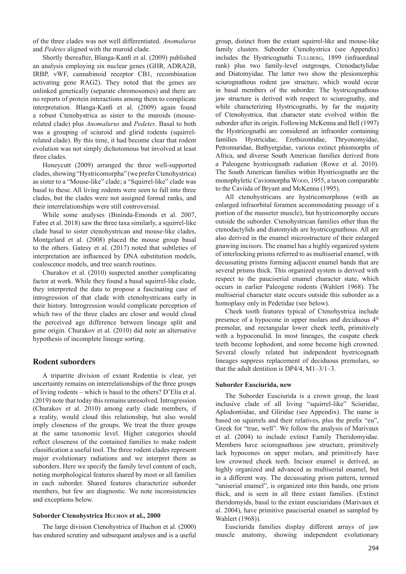of the three clades was not well differentiated. *Anomalurus* and *Pedetes* aligned with the muroid clade.

Shortly thereafter, Blanga-Kanfi et al. (2009) published an analysis employing six nuclear genes (GHR, ADRA2B, IRBP, vWF, cannabinoid receptor CB1, recombination activating gene RAG2). They noted that the genes are unlinked genetically (separate chromosomes) and there are no reports of protein interactions among them to complicate interpretation. Blanga-Kanfi et al. (2009) again found a robust Ctenohystrica as sister to the muroids (mouserelated clade) plus *Anomalurus* and *Pedetes*. Basal to both was a grouping of sciuroid and glirid rodents (squirrelrelated clade). By this time, it had become clear that rodent evolution was not simply dichotomous but involved at least three clades.

Honeycutt (2009) arranged the three well-supported clades, showing "Hystricomorpha" (we prefer Ctenohystrica) as sister to a "Mouse-like" clade; a "Squirrel-like" clade was basal to these. All living rodents were seen to fall into three clades, but the clades were not assigned formal ranks, and their interrelationships were still controversial.

While some analyses (Bininda-Emonds et al. 2007, Fabre et al. 2018) saw the three taxa similarly, a squirrel-like clade basal to sister ctenohystrican and mouse-like clades, Montgelard et al. (2008) placed the mouse group basal to the others. Gatesy et al. (2017) noted that subtleties of interpretation are influenced by DNA substitution models, coalescence models, and tree search routines.

Churakov et al. (2010) suspected another complicating factor at work. While they found a basal squirrel-like clade, they interpreted the data to propose a fascinating case of introgression of that clade with ctenohystricans early in their history. Introgression would complicate perception of which two of the three clades are closer and would cloud the perceived age difference between lineage split and gene origin. Churakov et al. (2010) did note an alternative hypothesis of incomplete lineage sorting.

### **Rodent suborders**

A tripartite division of extant Rodentia is clear, yet uncertainty remains on interrelationships of the three groups of living rodents – which is basal to the others? D'Elía et al. (2019) note that today this remains unresolved. Introgression (Churakov et al. 2010) among early clade members, if a reality, would cloud this relationship, but also would imply closeness of the groups. We treat the three groups at the same taxonomic level. Higher categories should reflect closeness of the contained families to make rodent classification a useful tool. The three rodent clades represent major evolutionary radiations and we interpret them as suborders. Here we specify the family level content of each, noting morphological features shared by most or all families in each suborder. Shared features characterize suborder members, but few are diagnostic. We note inconsistencies and exceptions below.

#### **Suborder Ctenohystrica Huchon et al., 2000**

The large division Ctenohystrica of Huchon et al. (2000) has endured scrutiny and subsequent analyses and is a useful group, distinct from the extant squirrel-like and mouse-like family clusters. Suborder Ctenohystrica (see Appendix) includes the Hystricognathi TULLBERG, 1899 (infraordinal rank) plus two family-level outgroups, Ctenodactylidae and Diatomyidae. The latter two show the plesiomorphic sciurognathous rodent jaw structure, which would occur in basal members of the suborder. The hystricognathous jaw structure is derived with respect to sciurognathy, and while characterizing Hystricognathi, by far the majority of Ctenohystrica, that character state evolved within the suborder after its origin. Following McKenna and Bell (1997) the Hystricognathi are considered an infraorder containing families Hystricidae, Erethizontidae, Thryonomyidae, Petromuridae, Bathyergidae, various extinct phiomorphs of Africa, and diverse South American families derived from a Paleogene hystricognath radiation (Rowe et al. 2010). The South American families within Hystricognathi are the monophyletic Caviomorpha Wood, 1955, a taxon comparable to the Caviida of Bryant and McKenna (1995).

All ctenohystricans are hystricomorphous (with an enlarged infraorbital foramen accommodating passage of a portion of the masseter muscle), but hystricomorphy occurs outside the suborder. Ctenohystrican families other than the ctenodactylids and diatomyids are hystricognathous. All are also derived in the enamel microstructure of their enlarged gnawing incisors. The enamel has a highly organized system of interlocking prisms referred to as multiserial enamel, with decussating prisms forming adjacent enamel bands that are several prisms thick. This organized system is derived with respect to the pauciserial enamel character state, which occurs in earlier Paleogene rodents (Wahlert 1968). The multiserial character state occurs outside this suborder as a homoplasy only in Pedetidae (see below).

Cheek tooth features typical of Ctenohystrica include presence of a hypocone in upper molars and deciduous 4th premolar, and rectangular lower cheek teeth, primitively with a hypoconulid. In most lineages, the cuspate cheek teeth become lophodont, and some become high crowned. Several closely related but independent hystricognath lineages suppress replacement of deciduous premolars, so that the adult dentition is DP4/4, M1–3/1–3.

#### **Suborder Eusciurida, new**

The Suborder Eusciurida is a crown group, the least inclusive clade of all living "squirrel-like" Sciuridae, Aplodontiidae, and Gliridae (see Appendix). The name is based on squirrels and their relatives, plus the prefix "eu", Greek for "true, well". We follow the analysis of Marivaux et al. (2004) to include extinct Family Theridomyidae. Members have sciurognathous jaw structure, primitively lack hypocones on upper molars, and primitively have low crowned cheek teeth. Incisor enamel is derived, as highly organized and advanced as multiserial enamel, but in a different way. The decussating prism pattern, termed "uniserial enamel", is organized into thin bands, one prism thick, and is seen in all three extant families. (Extinct theridomyids, basal to the extant eusciuridans (Marivaux et al. 2004), have primitive pauciserial enamel as sampled by Wahlert (1968)).

Eusciurida families display different arrays of jaw muscle anatomy, showing independent evolutionary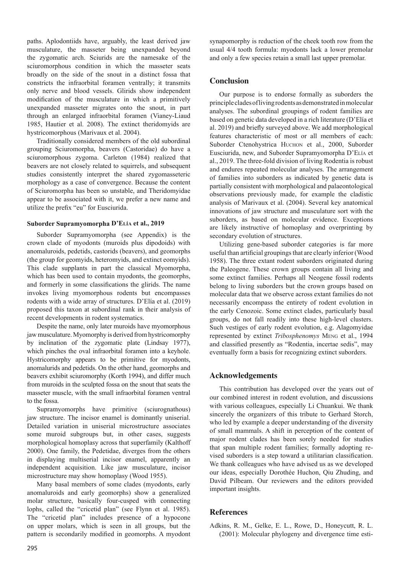paths. Aplodontiids have, arguably, the least derived jaw musculature, the masseter being unexpanded beyond the zygomatic arch. Sciurids are the namesake of the sciuromorphous condition in which the masseter seats broadly on the side of the snout in a distinct fossa that constricts the infraorbital foramen ventrally; it transmits only nerve and blood vessels. Glirids show independent modification of the musculature in which a primitively unexpanded masseter migrates onto the snout, in part through an enlarged infraorbital foramen (Vianey-Liaud 1985, Hautier et al. 2008). The extinct theridomyids are hystricomorphous (Marivaux et al. 2004).

Traditionally considered members of the old subordinal grouping Sciuromorpha, beavers (Castoridae) do have a sciuromorphous zygoma. Carleton (1984) realized that beavers are not closely related to squirrels, and subsequent studies consistently interpret the shared zygomasseteric morphology as a case of convergence. Because the content of Sciuromorpha has been so unstable, and Theridomyidae appear to be associated with it, we prefer a new name and utilize the prefix "eu" for Eusciurida.

#### **Suborder Supramyomorpha D'Elía et al., 2019**

Suborder Supramyomorpha (see Appendix) is the crown clade of myodonts (muroids plus dipodoids) with anomaluroids, pedetids, castorids (beavers), and geomorphs (the group for geomyids, heteromyids, and extinct eomyids). This clade supplants in part the classical Myomorpha, which has been used to contain myodonts, the geomorphs, and formerly in some classifications the glirids. The name invokes living myomorphous rodents but encompasses rodents with a wide array of structures. D'Elía et al. (2019) proposed this taxon at subordinal rank in their analysis of recent developments in rodent systematics.

Despite the name, only later muroids have myomorphous jaw musculature. Myomorphy is derived from hystricomorphy by inclination of the zygomatic plate (Lindsay 1977), which pinches the oval infraorbital foramen into a keyhole. Hystricomorphy appears to be primitive for myodonts, anomalurids and pedetids. On the other hand, geomorphs and beavers exhibit sciuromorphy (Korth 1994), and differ much from muroids in the sculpted fossa on the snout that seats the masseter muscle, with the small infraorbital foramen ventral to the fossa.

Supramyomorphs have primitive (sciurognathous) jaw structure. The incisor enamel is dominantly uniserial. Detailed variation in uniserial microstructure associates some muroid subgroups but, in other cases, suggests morphological homoplasy across that superfamily (Kalthoff 2000). One family, the Pedetidae, diverges from the others in displaying multiserial incisor enamel, apparently an independent acquisition. Like jaw musculature, incisor microstructure may show homoplasy (Wood 1955).

Many basal members of some clades (myodonts, early anomaluroids and early geomorphs) show a generalized molar structure, basically four-cusped with connecting lophs, called the "cricetid plan" (see Flynn et al. 1985). The "cricetid plan" includes presence of a hypocone on upper molars, which is seen in all groups, but the pattern is secondarily modified in geomorphs. A myodont synapomorphy is reduction of the cheek tooth row from the usual 4/4 tooth formula: myodonts lack a lower premolar and only a few species retain a small last upper premolar.

## **Conclusion**

Our purpose is to endorse formally as suborders the principle clades of living rodents as demonstrated in molecular analyses. The subordinal groupings of rodent families are based on genetic data developed in a rich literature (D'Elía et al. 2019) and briefly surveyed above. We add morphological features characteristic of most or all members of each: Suborder Ctenohystrica HUCHON et al., 2000, Suborder Eusciurida, new, and Suborder Supramyomorpha D'Elía et al., 2019. The three-fold division of living Rodentia is robust and endures repeated molecular analyses. The arrangement of families into suborders as indicated by genetic data is partially consistent with morphological and palaeontological observations previously made, for example the cladistic analysis of Marivaux et al. (2004). Several key anatomical innovations of jaw structure and musculature sort with the suborders, as based on molecular evidence. Exceptions are likely instructive of homoplasy and overprinting by secondary evolution of structures.

Utilizing gene-based suborder categories is far more useful than artificial groupings that are clearly inferior (Wood 1958). The three extant rodent suborders originated during the Paleogene. These crown groups contain all living and some extinct families. Perhaps all Neogene fossil rodents belong to living suborders but the crown groups based on molecular data that we observe across extant families do not necessarily encompass the entirety of rodent evolution in the early Cenozoic. Some extinct clades, particularly basal groups, do not fall readily into these high-level clusters. Such vestiges of early rodent evolution, e.g. Alagomyidae represented by extinct *Tribosphenomys* Meng et al., 1994 and classified presently as "Rodentia, incertae sedis", may eventually form a basis for recognizing extinct suborders.

# **Acknowledgements**

This contribution has developed over the years out of our combined interest in rodent evolution, and discussions with various colleagues, especially Li Chuankui. We thank sincerely the organizers of this tribute to Gerhard Storch, who led by example a deeper understanding of the diversity of small mammals. A shift in perception of the content of major rodent clades has been sorely needed for studies that span multiple rodent families; formally adopting revised suborders is a step toward a utilitarian classification. We thank colleagues who have advised us as we developed our ideas, especially Dorothée Huchon, Qiu Zhuding, and David Pilbeam. Our reviewers and the editors provided important insights.

# **References**

Adkins, R. M., Gelke, E. L., Rowe, D., Honeycutt, R. L. (2001): Molecular phylogeny and divergence time esti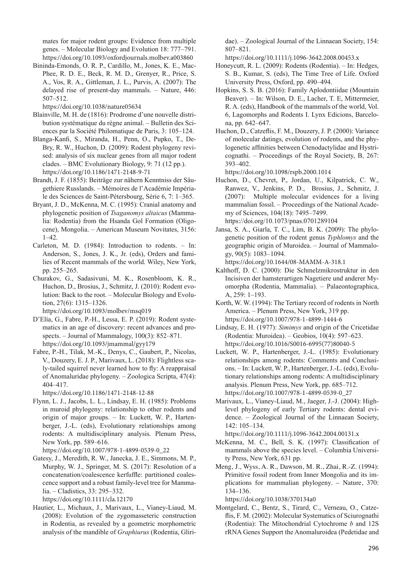mates for major rodent groups: Evidence from multiple genes. – Molecular Biology and Evolution 18: 777–791. https://doi.org/10.1093/oxfordjournals.molbev.a003860

Bininda-Emonds, O. R. P., Cardillo, M., Jones, K. E., Mac-Phee, R. D. E., Beck, R. M. D., Grenyer, R., Price, S. A., Vos, R. A., Gittleman, J. L., Purvis, A. (2007): The delayed rise of present-day mammals. – Nature, 446: 507–512.

https://doi.org/10.1038/nature05634

- Blainville, M. H. de (1816): Prodrome d'une nouvelle distribution systématique du règne animal. – Bulletin des Sciences par la Société Philomatique de Paris, 3: 105–124.
- Blanga-Kanfi, S., Miranda, H., Penn, O., Pupko, T., De-Bry, R. W., Huchon, D. (2009): Rodent phylogeny revised: analysis of six nuclear genes from all major rodent clades. – BMC Evolutionary Biology, 9: 71 (12 pp.). https://doi.org/10.1186/1471-2148-9-71
- Brandt, J. F. (1855): Beiträge zur nähern Kenntniss der Säugethiere Russlands. – Mémoires de l'Académie Impériale des Sciences de Saint-Pétersbourg, Série 6, 7: 1–365.
- Bryant, J. D., McKenna, M. C. (1995): Cranial anatomy and phylogenetic position of *Tsaganomys altaicus* (Mammalia: Rodentia) from the Hsanda Gol Formation (Oligocene), Mongolia. – American Museum Novitates, 3156: 1–42.
- Carleton, M. D. (1984): Introduction to rodents. In: Anderson, S., Jones, J. K., Jr. (eds), Orders and families of Recent mammals of the world. Wiley, New York, pp. 255–265.
- Churakov, G., Sadasivuni, M. K., Rosenbloom, K. R., Huchon, D., Brosius, J., Schmitz, J. (2010): Rodent evolution: Back to the root. – Molecular Biology and Evolution, 27(6): 1315–1326.

https://doi.org/10.1093/molbev/msq019

- D'Elía, G., Fabre, P.-H., Lessa, E. P. (2019): Rodent systematics in an age of discovery: recent advances and prospects. – Journal of Mammalogy, 100(3): 852–871. https://doi.org/10.1093/jmammal/gyy179
- Fabre, P.-H., Tilak, M.-K., Denys, C., Gaubert, P., Nicolas, V., Douzery, E. J. P., Marivaux, L. (2018): Flightless scaly-tailed squirrel never learned how to fly: A reappraisal of Anomaluridae phylogeny. – Zoologica Scripta, 47(4): 404–417.

https://doi.org/10.1186/1471-2148-12-88

Flynn, L. J., Jacobs, L. L., Lindsay, E. H. (1985): Problems in muroid phylogeny: relationship to other rodents and origin of major groups. – In: Luckett, W. P., Hartenberger, J.-L. (eds), Evolutionary relationships among rodents: A multidisciplinary analysis. Plenum Press, New York, pp. 589–616.

https://doi.org/10.1007/978-1-4899-0539-0\_22

Gatesy, J., Meredith, R. W., Janecka, J. E., Simmons, M. P., Murphy, W. J., Springer, M. S. (2017): Resolution of a concatenation/coalescence kerfuffle: partitioned coalescence support and a robust family-level tree for Mammalia. – Cladistics, 33: 295–332.

https://doi.org/10.1111/cla.12170

Hautier, L., Michaux, J., Marivaux, L., Vianey-Liaud, M. (2008): Evolution of the zygomasseteric construction in Rodentia, as revealed by a geometric morphometric analysis of the mandible of *Graphiurus* (Rodentia, Gliridae). – Zoological Journal of the Linnaean Society, 154: 807–821.

https://doi.org/10.1111/j.1096-3642.2008.00453.x

- Honeycutt, R. L. (2009): Rodents (Rodentia). In: Hedges, S. B., Kumar, S. (eds), The Time Tree of Life. Oxford University Press, Oxford, pp. 490–494.
- Hopkins, S. S. B. (2016): Family Aplodontiidae (Mountain Beaver). – In: Wilson, D. E., Lacher, T. E, Mittermeier, R. A. (eds), Handbook of the mammals of the world, Vol. 6, Lagomorphs and Rodents I. Lynx Edicions, Barcelona, pp. 642–647.
- Huchon, D., Catzeflis, F. M., Douzery, J. P. (2000): Variance of molecular datings, evolution of rodents, and the phylogenetic affinities between Ctenodactylidae and Hystricognathi. – Proceedings of the Royal Society, B, 267: 393–402.

https://doi.org/10.1098/rspb.2000.1014

- Huchon, D., Chevret, P., Jordan, U., Kilpatrick, C. W., Ranwez, V., Jenkins, P. D., Brosius, J., Schmitz, J. (2007): Multiple molecular evidences for a living mammalian fossil. – Proceedings of the National Academy of Sciences, 104(18): 7495–7499. https://doi.org/10.1073/pnas.0701289104
- Jansa, S. A., Giarla, T. C., Lim, B. K. (2009): The phylogenetic position of the rodent genus *Typhlomys* and the geographic origin of Muroidea. – Journal of Mammalogy, 90(5): 1083–1094.

https://doi.org/10.1644/08-MAMM-A-318.1

- Kalthoff, D. C. (2000): Die Schmelzmikrostruktur in den Incisiven der hamsterartigen Nagetiere und anderer Myomorpha (Rodentia, Mammalia). – Palaeontographica, A, 259: 1–193.
- Korth, W. W. (1994): The Tertiary record of rodents in North America. – Plenum Press, New York, 319 pp. https://doi.org/10.1007/978-1-4899-1444-6
- Lindsay, E. H. (1977): *Simimys* and origin of the Cricetidae (Rodentia: Muroidea). – Geobios, 10(4): 597–623. https://doi.org/10.1016/S0016-6995(77)80040-5
- Luckett, W. P., Hartenberger, J.-L. (1985): Evolutionary relationships among rodents: Comments and Conclusions. – In: Luckett, W. P., Hartenberger, J.-L. (eds), Evolutionary relationships among rodents: A multidisciplinary analysis. Plenum Press, New York, pp. 685–712. https://doi.org/10.1007/978-1-4899-0539-0\_27
- Marivaux, L., Vianey-Liaud, M., Jaeger, J.-J. (2004): Highlevel phylogeny of early Tertiary rodents: dental evidence. – Zoological Journal of the Linnaean Society, 142: 105–134.

https://doi.org/10.1111/j.1096-3642.2004.00131.x

- McKenna, M. C., Bell, S. K. (1997): Classification of mammals above the species level. – Columbia University Press, New York, 631 pp.
- Meng, J., Wyss, A. R., Dawson, M. R., Zhai, R.-Z. (1994): Primitive fossil rodent from Inner Mongolia and its implications for mammalian phylogeny. – Nature, 370: 134–136.

https://doi.org/10.1038/370134a0

Montgelard, C., Bentz, S., Tirard, C., Verneau, O., Catzeflis, F. M. (2002): Molecular Systematics of Sciurognathi (Rodentia): The Mitochondrial Cytochrome *b* and 12S rRNA Genes Support the Anomaluroidea (Pedetidae and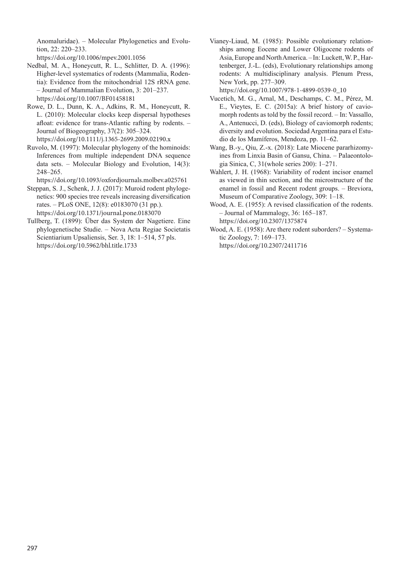Anomaluridae). – Molecular Phylogenetics and Evolution, 22: 220–233.

https://doi.org/10.1006/mpev.2001.1056

- Nedbal, M. A., Honeycutt, R. L., Schlitter, D. A. (1996): Higher-level systematics of rodents (Mammalia, Rodentia): Evidence from the mitochondrial 12S rRNA gene. – Journal of Mammalian Evolution, 3: 201–237. https://doi.org/10.1007/BF01458181
- Rowe, D. L., Dunn, K. A., Adkins, R. M., Honeycutt, R. L. (2010): Molecular clocks keep dispersal hypotheses afloat: evidence for trans-Atlantic rafting by rodents. – Journal of Biogeography, 37(2): 305–324. https://doi.org/10.1111/j.1365-2699.2009.02190.x
- Ruvolo, M. (1997): Molecular phylogeny of the hominoids: Inferences from multiple independent DNA sequence data sets. – Molecular Biology and Evolution, 14(3): 248–265.

https://doi.org/10.1093/oxfordjournals.molbev.a025761

- Steppan, S. J., Schenk, J. J. (2017): Muroid rodent phylogenetics: 900 species tree reveals increasing diversification rates. – PLoS ONE, 12(8): e0183070 (31 pp.). https://doi.org/10.1371/journal.pone.0183070
- Tullberg, T. (1899): Über das System der Nagetiere. Eine phylogenetische Studie. *–* Nova Acta Regiae Societatis Scientiarium Upsaliensis, Ser. 3, 18: 1*–*514, 57 pls. https://doi.org/10.5962/bhl.title.1733

Vianey-Liaud, M. (1985): Possible evolutionary relationships among Eocene and Lower Oligocene rodents of Asia, Europe and North America. – In: Luckett, W. P., Hartenberger, J.-L. (eds), Evolutionary relationships among rodents: A multidisciplinary analysis. Plenum Press, New York, pp. 277–309.

https://doi.org/10.1007/978-1-4899-0539-0\_10

- Vucetich, M. G., Arnal, M., Deschamps, C. M., Pérez, M. E., Vieytes, E. C. (2015a): A brief history of caviomorph rodents as told by the fossil record. – In: Vassallo, A., Antenucci, D. (eds), Biology of caviomorph rodents; diversity and evolution. Sociedad Argentina para el Estudio de los Mamíferos, Mendoza, pp. 11–62.
- Wang, B.-y., Qiu, Z.-x. (2018): Late Miocene pararhizomyines from Linxia Basin of Gansu, China. – Palaeontologia Sinica, C, 31(whole series 200): 1–271.
- Wahlert, J. H. (1968): Variability of rodent incisor enamel as viewed in thin section, and the microstructure of the enamel in fossil and Recent rodent groups. – Breviora, Museum of Comparative Zoology, 309: 1–18.
- Wood, A. E. (1955): A revised classification of the rodents. – Journal of Mammalogy, 36: 165–187. https://doi.org/10.2307/1375874
- Wood, A. E. (1958): Are there rodent suborders? Systematic Zoology, 7: 169–173.

https://doi.org/10.2307/2411716